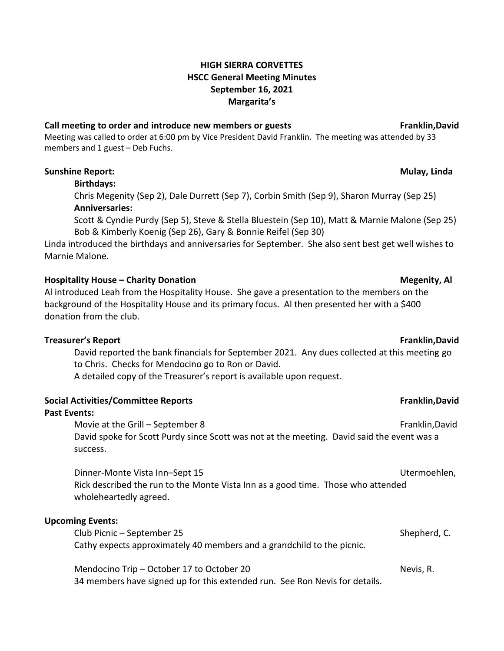# **HIGH SIERRA CORVETTES HSCC General Meeting Minutes September 16, 2021 Margarita's**

### **Call meeting to order and introduce new members or guests Franklin,David**

Meeting was called to order at 6:00 pm by Vice President David Franklin. The meeting was attended by 33 members and 1 guest – Deb Fuchs.

### **Sunshine Report: Mulay, Linda**

### **Birthdays:**

Chris Megenity (Sep 2), Dale Durrett (Sep 7), Corbin Smith (Sep 9), Sharon Murray (Sep 25) **Anniversaries:**

Scott & Cyndie Purdy (Sep 5), Steve & Stella Bluestein (Sep 10), Matt & Marnie Malone (Sep 25) Bob & Kimberly Koenig (Sep 26), Gary & Bonnie Reifel (Sep 30)

Linda introduced the birthdays and anniversaries for September. She also sent best get well wishes to Marnie Malone.

# **Hospitality House – Charity Donation Megenity, Al**

Al introduced Leah from the Hospitality House. She gave a presentation to the members on the background of the Hospitality House and its primary focus. Al then presented her with a \$400 donation from the club.

### **Treasurer's Report Franklin,David**

David reported the bank financials for September 2021. Any dues collected at this meeting go to Chris. Checks for Mendocino go to Ron or David.

A detailed copy of the Treasurer's report is available upon request.

| <b>Social Activities/Committee Reports</b> |  |  |
|--------------------------------------------|--|--|
|--------------------------------------------|--|--|

### **Past Events:**

Movie at the Grill – September 8 Franklin,David David spoke for Scott Purdy since Scott was not at the meeting. David said the event was a success.

Dinner-Monte Vista Inn–Sept 15 Utermoehlen, Rick described the run to the Monte Vista Inn as a good time. Those who attended wholeheartedly agreed.

### **Upcoming Events:**

Club Picnic – September 25 Shepherd, C. Cathy expects approximately 40 members and a grandchild to the picnic.

Mendocino Trip – October 17 to October 20 Nevis, R.

34 members have signed up for this extended run. See Ron Nevis for details.

### **Social Activities/Committee Reports Franklin,David**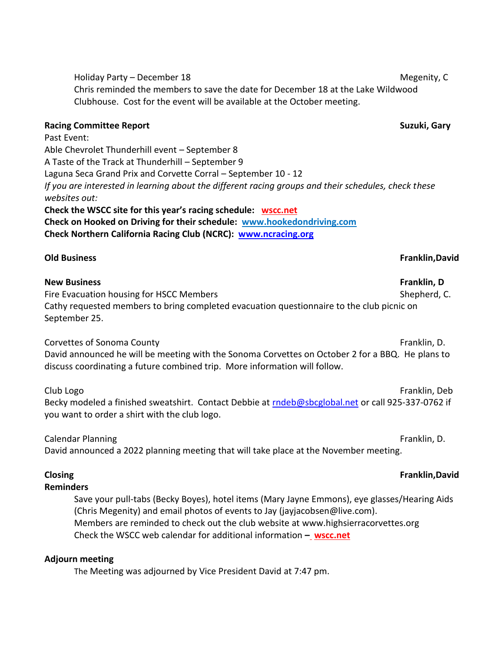Holiday Party – December 18 Megenity, C Chris reminded the members to save the date for December 18 at the Lake Wildwood Clubhouse. Cost for the event will be available at the October meeting.

# **Racing Committee Report Suzuki, Gary**

Past Event: Able Chevrolet Thunderhill event – September 8 A Taste of the Track at Thunderhill – September 9 Laguna Seca Grand Prix and Corvette Corral – September 10 - 12 *If you are interested in learning about the different racing groups and their schedules, check these websites out:* **Check the WSCC site for this year's racing schedule: [wscc.net](https://wscc.net/) Check on Hooked on Driving for their schedule: [www.hookedondriving.com](http://www.hookedondriving.com/)**

**Check Northern California Racing Club (NCRC): [www.ncracing.org](http://www.ncracing.org/)**

# **New Business Franklin, D**

Fire Evacuation housing for HSCC Members Shepherd, C. Cathy requested members to bring completed evacuation questionnaire to the club picnic on September 25.

Corvettes of Sonoma County **Franklin, D.** The Sonoma County **Franklin**, D. The Sonoma County **Franklin**, D.

David announced he will be meeting with the Sonoma Corvettes on October 2 for a BBQ. He plans to discuss coordinating a future combined trip. More information will follow.

Club Logo Franklin, Deb

Becky modeled a finished sweatshirt. Contact Debbie at [rndeb@sbcglobal.net](mailto:rndeb@sbcglobal.net) or call 925-337-0762 if you want to order a shirt with the club logo.

Calendar Planning **Franklin, D.** The Calendar Planning **Franklin**, D. The Calendar Planning **Franklin**, D. David announced a 2022 planning meeting that will take place at the November meeting.

# **Reminders**

Save your pull-tabs (Becky Boyes), hotel items (Mary Jayne Emmons), eye glasses/Hearing Aids (Chris Megenity) and email photos of events to Jay (jayjacobsen@live.com). Members are reminded to check out the club website at www.highsierracorvettes.org Check the WSCC web calendar for additional information **[–](file:///C:/Users/nitaj/Downloads/–%20%20%20https:/wscc.net/) [wscc.net](https://wscc.net/)**

# **Adjourn meeting**

The Meeting was adjourned by Vice President David at 7:47 pm.

### **Old Business Franklin,David**

### **Closing Franklin,David**